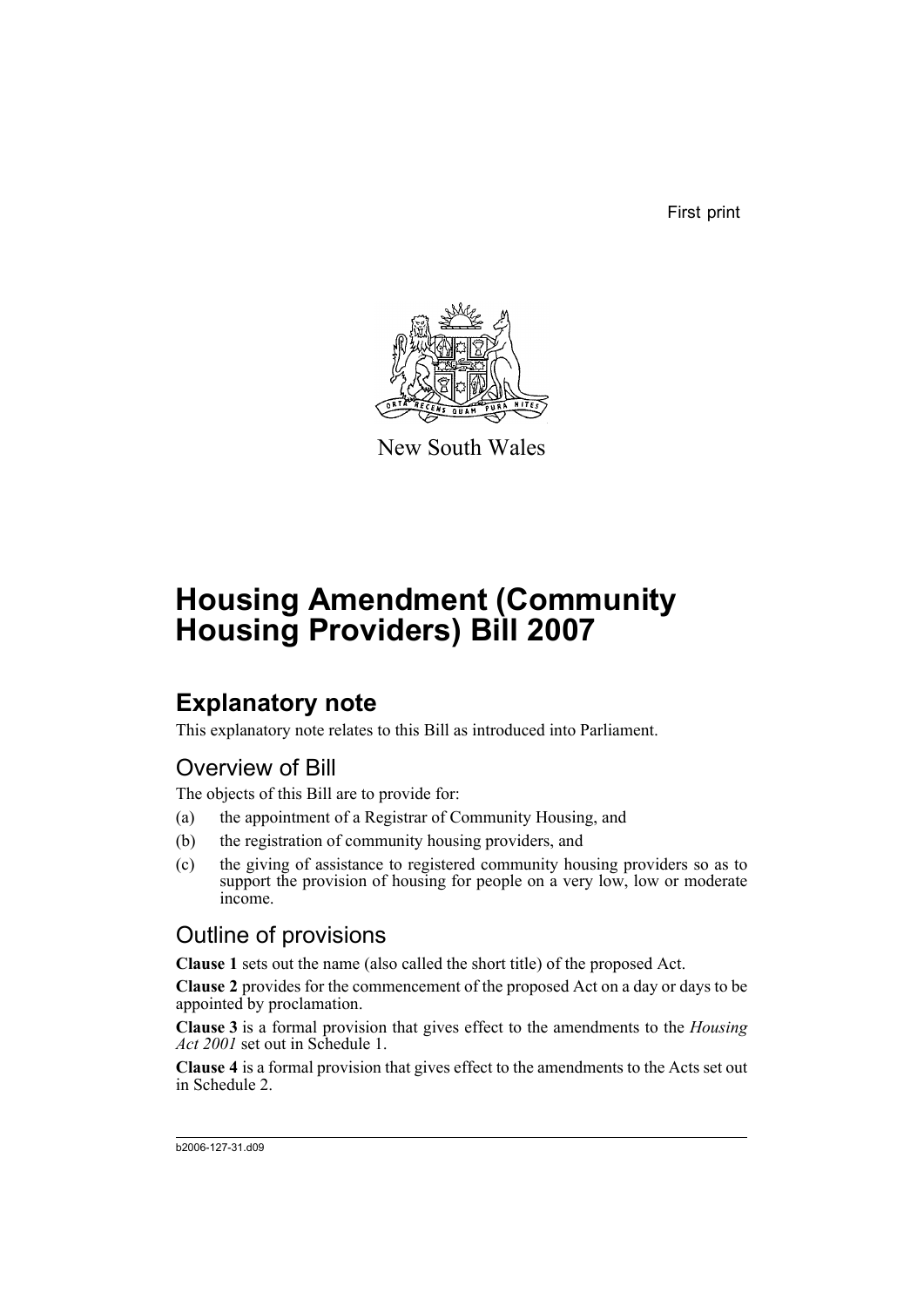First print



New South Wales

# **Housing Amendment (Community Housing Providers) Bill 2007**

# **Explanatory note**

This explanatory note relates to this Bill as introduced into Parliament.

# Overview of Bill

The objects of this Bill are to provide for:

- (a) the appointment of a Registrar of Community Housing, and
- (b) the registration of community housing providers, and
- (c) the giving of assistance to registered community housing providers so as to support the provision of housing for people on a very low, low or moderate income.

# Outline of provisions

**Clause 1** sets out the name (also called the short title) of the proposed Act.

**Clause 2** provides for the commencement of the proposed Act on a day or days to be appointed by proclamation.

**Clause 3** is a formal provision that gives effect to the amendments to the *Housing Act 2001* set out in Schedule 1.

**Clause 4** is a formal provision that gives effect to the amendments to the Acts set out in Schedule 2.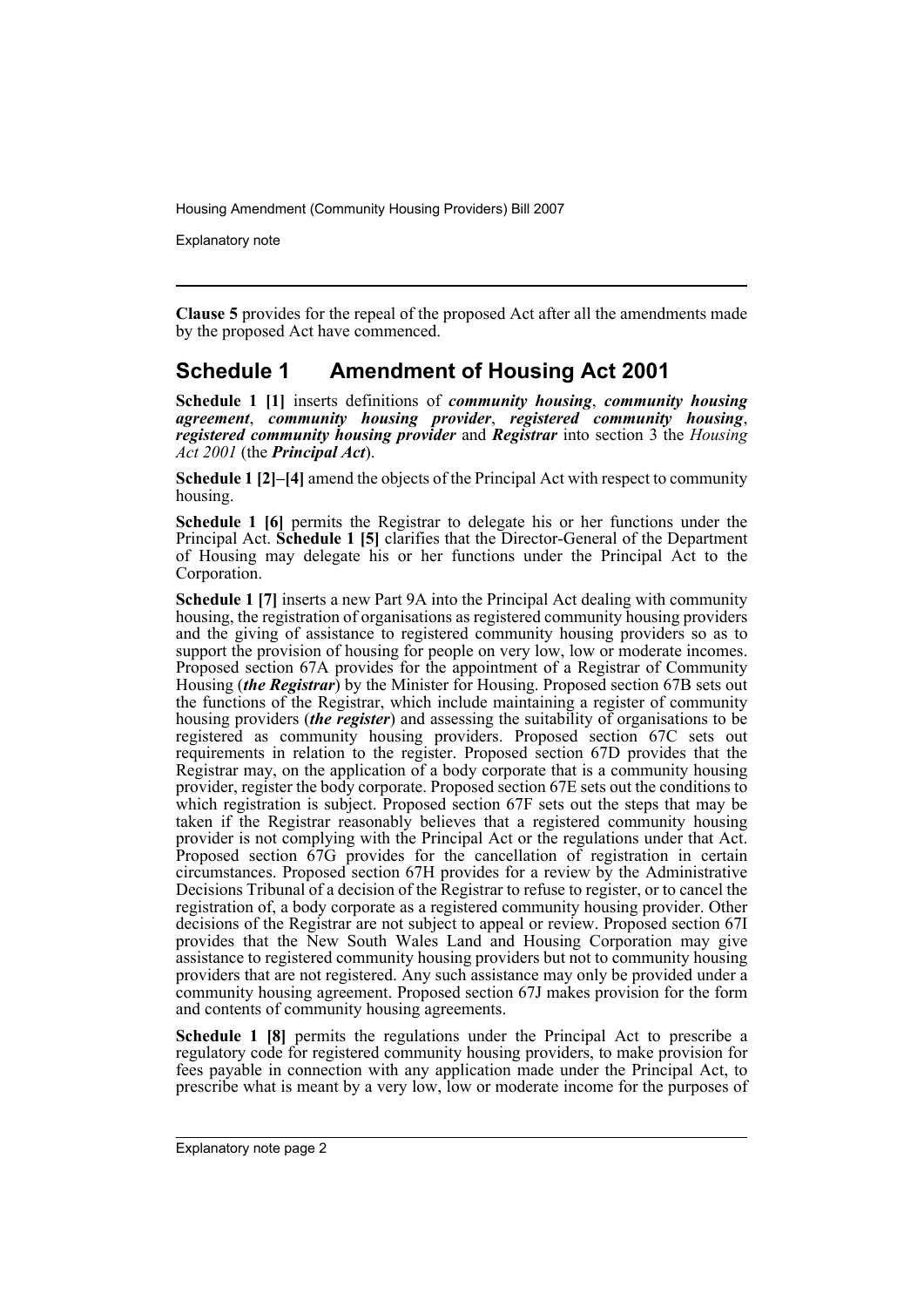Explanatory note

**Clause 5** provides for the repeal of the proposed Act after all the amendments made by the proposed Act have commenced.

### **Schedule 1 Amendment of Housing Act 2001**

**Schedule 1 [1]** inserts definitions of *community housing*, *community housing agreement*, *community housing provider*, *registered community housing*, *registered community housing provider* and *Registrar* into section 3 the *Housing Act 2001* (the *Principal Act*).

**Schedule 1 [2]–[4]** amend the objects of the Principal Act with respect to community housing.

**Schedule 1 [6]** permits the Registrar to delegate his or her functions under the Principal Act. **Schedule 1 [5]** clarifies that the Director-General of the Department of Housing may delegate his or her functions under the Principal Act to the Corporation.

**Schedule 1 [7]** inserts a new Part 9A into the Principal Act dealing with community housing, the registration of organisations as registered community housing providers and the giving of assistance to registered community housing providers so as to support the provision of housing for people on very low, low or moderate incomes. Proposed section 67A provides for the appointment of a Registrar of Community Housing (*the Registrar*) by the Minister for Housing. Proposed section 67B sets out the functions of the Registrar, which include maintaining a register of community housing providers (*the register*) and assessing the suitability of organisations to be registered as community housing providers. Proposed section 67C sets out requirements in relation to the register. Proposed section 67D provides that the Registrar may, on the application of a body corporate that is a community housing provider, register the body corporate. Proposed section 67E sets out the conditions to which registration is subject. Proposed section 67F sets out the steps that may be taken if the Registrar reasonably believes that a registered community housing provider is not complying with the Principal Act or the regulations under that Act. Proposed section 67G provides for the cancellation of registration in certain circumstances. Proposed section 67H provides for a review by the Administrative Decisions Tribunal of a decision of the Registrar to refuse to register, or to cancel the registration of, a body corporate as a registered community housing provider. Other decisions of the Registrar are not subject to appeal or review. Proposed section 67I provides that the New South Wales Land and Housing Corporation may give assistance to registered community housing providers but not to community housing providers that are not registered. Any such assistance may only be provided under a community housing agreement. Proposed section 67J makes provision for the form and contents of community housing agreements.

**Schedule 1 [8]** permits the regulations under the Principal Act to prescribe a regulatory code for registered community housing providers, to make provision for fees payable in connection with any application made under the Principal Act, to prescribe what is meant by a very low, low or moderate income for the purposes of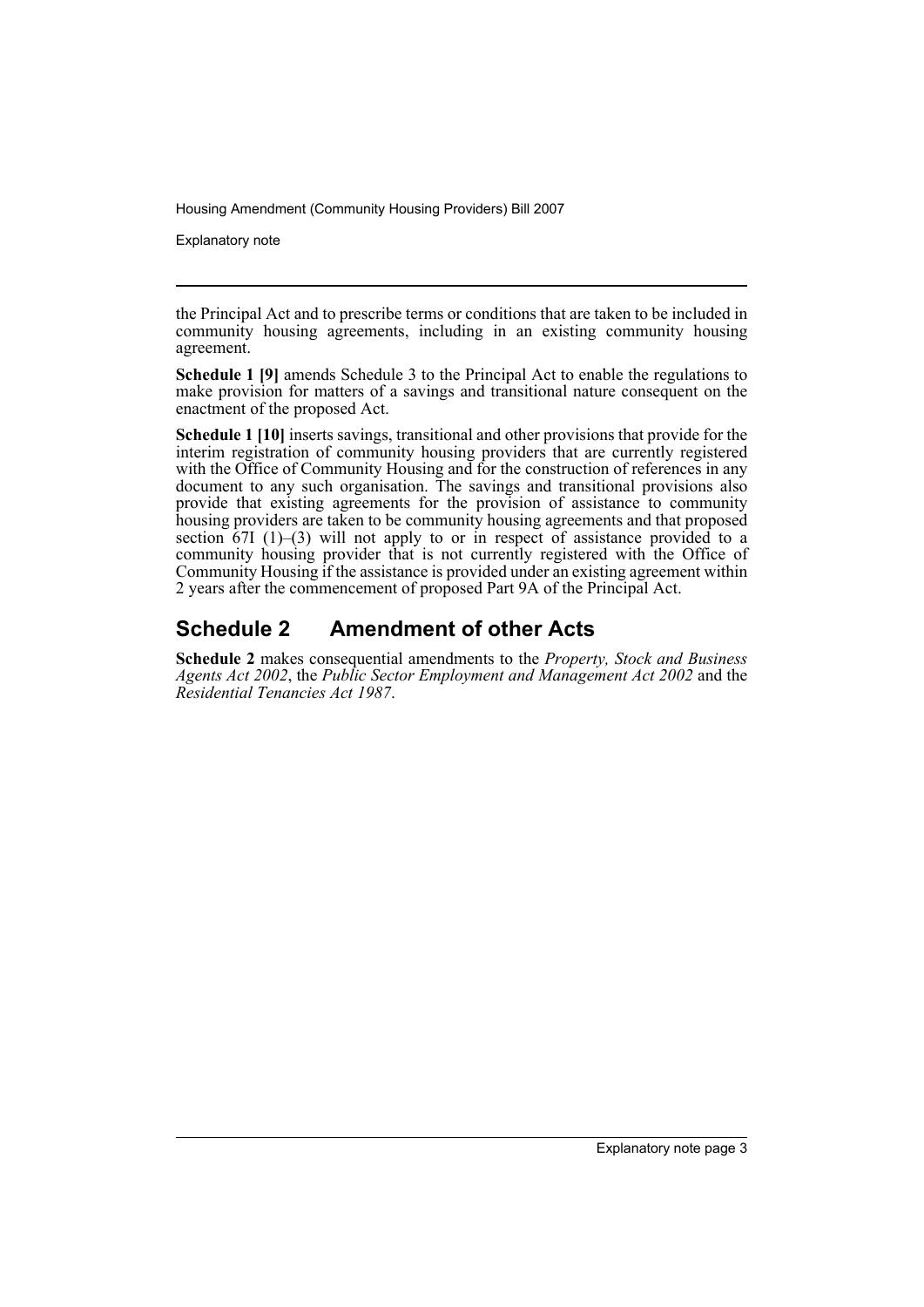Explanatory note

the Principal Act and to prescribe terms or conditions that are taken to be included in community housing agreements, including in an existing community housing agreement.

**Schedule 1 [9]** amends Schedule 3 to the Principal Act to enable the regulations to make provision for matters of a savings and transitional nature consequent on the enactment of the proposed Act.

**Schedule 1 [10]** inserts savings, transitional and other provisions that provide for the interim registration of community housing providers that are currently registered with the Office of Community Housing and for the construction of references in any document to any such organisation. The savings and transitional provisions also provide that existing agreements for the provision of assistance to community housing providers are taken to be community housing agreements and that proposed section  $67I$  (1)–(3) will not apply to or in respect of assistance provided to a community housing provider that is not currently registered with the Office of Community Housing if the assistance is provided under an existing agreement within 2 years after the commencement of proposed Part 9A of the Principal Act.

### **Schedule 2 Amendment of other Acts**

**Schedule 2** makes consequential amendments to the *Property, Stock and Business Agents Act 2002*, the *Public Sector Employment and Management Act 2002* and the *Residential Tenancies Act 1987*.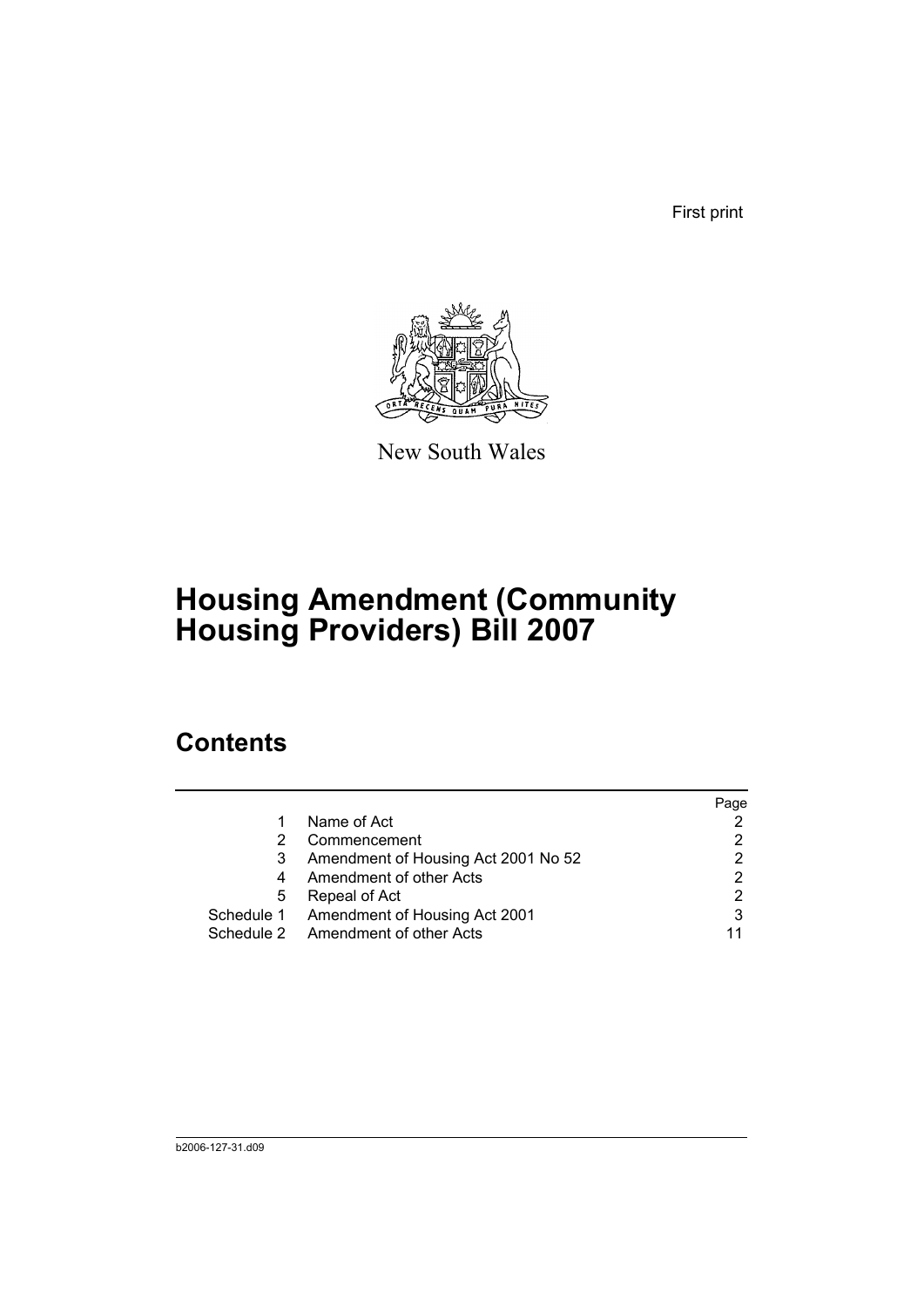First print



New South Wales

# **Housing Amendment (Community Housing Providers) Bill 2007**

# **Contents**

|   |                                          | Page |
|---|------------------------------------------|------|
|   | Name of Act                              |      |
| 2 | Commencement                             |      |
| 3 | Amendment of Housing Act 2001 No 52      |      |
| 4 | Amendment of other Acts                  | 2    |
| 5 | Repeal of Act                            |      |
|   | Schedule 1 Amendment of Housing Act 2001 |      |
|   | Schedule 2 Amendment of other Acts       |      |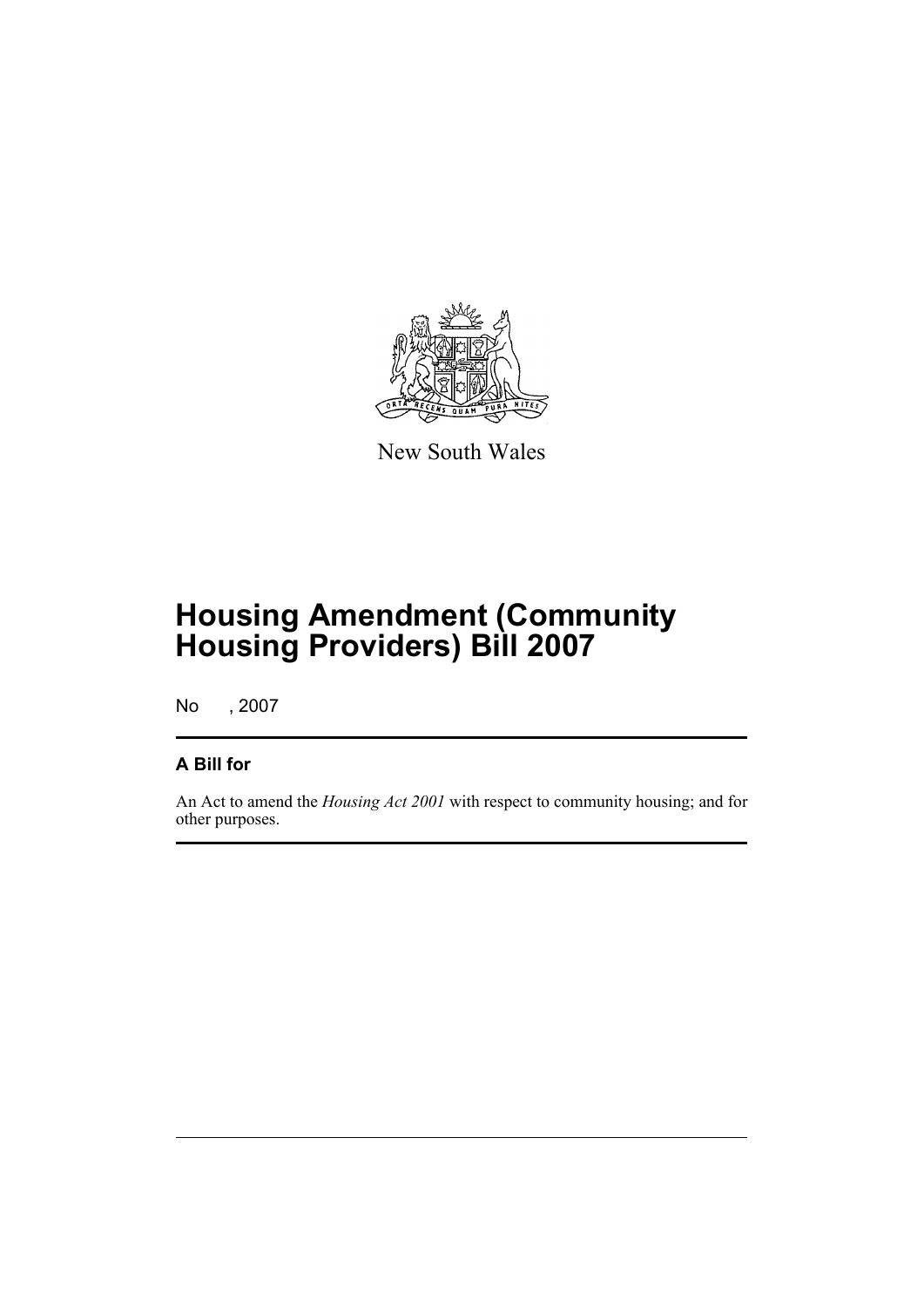

New South Wales

# **Housing Amendment (Community Housing Providers) Bill 2007**

No , 2007

### **A Bill for**

An Act to amend the *Housing Act 2001* with respect to community housing; and for other purposes.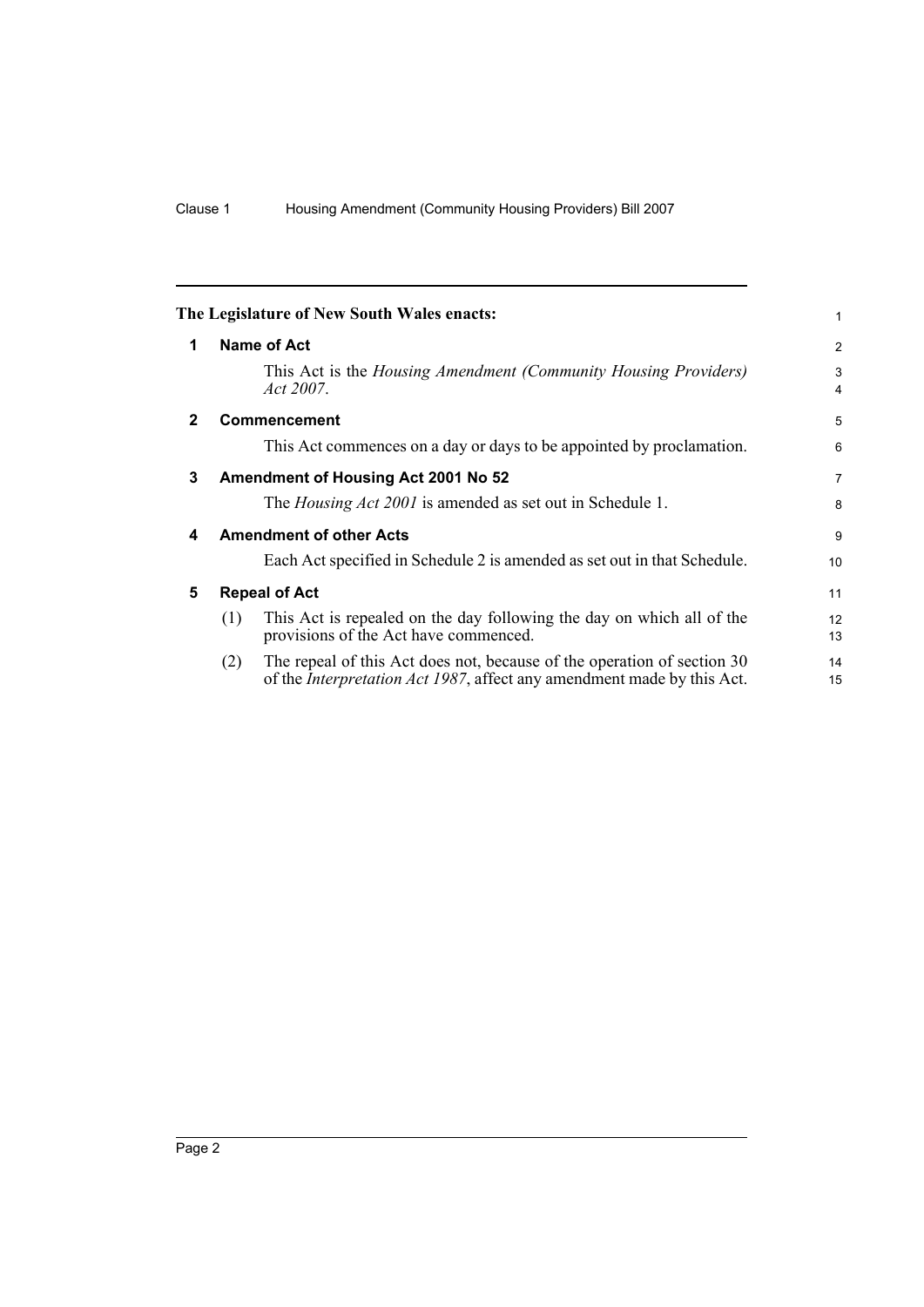<span id="page-7-4"></span><span id="page-7-3"></span><span id="page-7-2"></span><span id="page-7-1"></span><span id="page-7-0"></span>

|              |                                | The Legislature of New South Wales enacts:                                                                                                                | 1                   |  |
|--------------|--------------------------------|-----------------------------------------------------------------------------------------------------------------------------------------------------------|---------------------|--|
| 1            |                                | Name of Act                                                                                                                                               | 2                   |  |
|              |                                | This Act is the Housing Amendment (Community Housing Providers)<br>Act 2007.                                                                              | 3<br>$\overline{4}$ |  |
| $\mathbf{2}$ |                                | <b>Commencement</b>                                                                                                                                       | 5                   |  |
|              |                                | This Act commences on a day or days to be appointed by proclamation.                                                                                      | 6                   |  |
| 3            |                                | Amendment of Housing Act 2001 No 52                                                                                                                       | $\overline{7}$      |  |
|              |                                | The <i>Housing Act 2001</i> is amended as set out in Schedule 1.                                                                                          | 8                   |  |
| 4            | <b>Amendment of other Acts</b> |                                                                                                                                                           |                     |  |
|              |                                | Each Act specified in Schedule 2 is amended as set out in that Schedule.                                                                                  | 10 <sup>1</sup>     |  |
| 5            | <b>Repeal of Act</b>           |                                                                                                                                                           |                     |  |
|              | (1)                            | This Act is repealed on the day following the day on which all of the<br>provisions of the Act have commenced.                                            | 12<br>13            |  |
|              | (2)                            | The repeal of this Act does not, because of the operation of section 30<br>of the <i>Interpretation Act 1987</i> , affect any amendment made by this Act. | 14<br>15            |  |
|              |                                |                                                                                                                                                           |                     |  |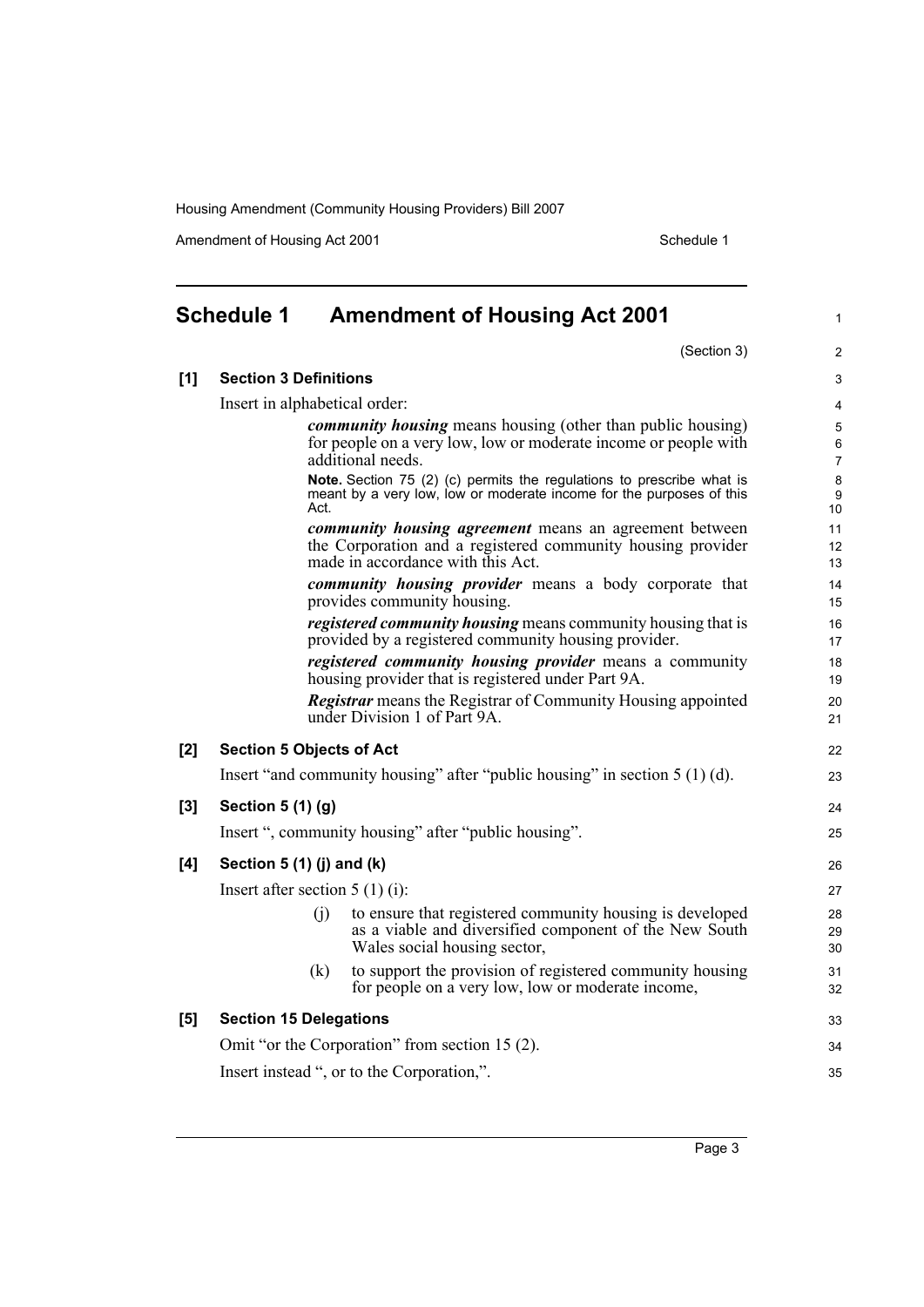Amendment of Housing Act 2001 and the United Schedule 1

<span id="page-8-0"></span>

|     | <b>Schedule 1</b>                              |      | <b>Amendment of Housing Act 2001</b>                                                                                                                              | $\mathbf{1}$        |  |
|-----|------------------------------------------------|------|-------------------------------------------------------------------------------------------------------------------------------------------------------------------|---------------------|--|
|     |                                                |      | (Section 3)                                                                                                                                                       | $\overline{2}$      |  |
| [1] | <b>Section 3 Definitions</b>                   |      |                                                                                                                                                                   |                     |  |
|     | Insert in alphabetical order:                  |      |                                                                                                                                                                   | $\overline{4}$      |  |
|     |                                                |      | community housing means housing (other than public housing)                                                                                                       | 5                   |  |
|     |                                                |      | for people on a very low, low or moderate income or people with<br>additional needs.                                                                              | 6<br>$\overline{7}$ |  |
|     |                                                | Act. | Note. Section 75 (2) (c) permits the regulations to prescribe what is<br>meant by a very low, low or moderate income for the purposes of this                     | 8<br>9<br>10        |  |
|     |                                                |      | <i>community housing agreement</i> means an agreement between<br>the Corporation and a registered community housing provider<br>made in accordance with this Act. | 11<br>12<br>13      |  |
|     |                                                |      | community housing provider means a body corporate that<br>provides community housing.                                                                             | 14<br>15            |  |
|     |                                                |      | <i>registered community housing</i> means community housing that is<br>provided by a registered community housing provider.                                       | 16<br>17            |  |
|     |                                                |      | registered community housing provider means a community<br>housing provider that is registered under Part 9A.                                                     | 18<br>19            |  |
|     |                                                |      | <b>Registrar</b> means the Registrar of Community Housing appointed<br>under Division 1 of Part 9A.                                                               | 20<br>21            |  |
| [2] | <b>Section 5 Objects of Act</b>                |      |                                                                                                                                                                   | 22                  |  |
|     |                                                |      | Insert "and community housing" after "public housing" in section 5 (1) (d).                                                                                       | 23                  |  |
| [3] | Section 5 (1) (g)                              |      |                                                                                                                                                                   | 24                  |  |
|     |                                                |      | Insert ", community housing" after "public housing".                                                                                                              | 25                  |  |
| [4] | Section $5(1)(j)$ and $(k)$                    |      |                                                                                                                                                                   | 26                  |  |
|     | Insert after section $5(1)(i)$ :               |      |                                                                                                                                                                   |                     |  |
|     |                                                | (i)  | to ensure that registered community housing is developed<br>as a viable and diversified component of the New South<br>Wales social housing sector,                | 28<br>29<br>30      |  |
|     |                                                | (k)  | to support the provision of registered community housing<br>for people on a very low, low or moderate income,                                                     | 31<br>32            |  |
| [5] | <b>Section 15 Delegations</b>                  |      |                                                                                                                                                                   | 33                  |  |
|     | Omit "or the Corporation" from section 15 (2). |      |                                                                                                                                                                   |                     |  |
|     | Insert instead ", or to the Corporation,".     |      |                                                                                                                                                                   |                     |  |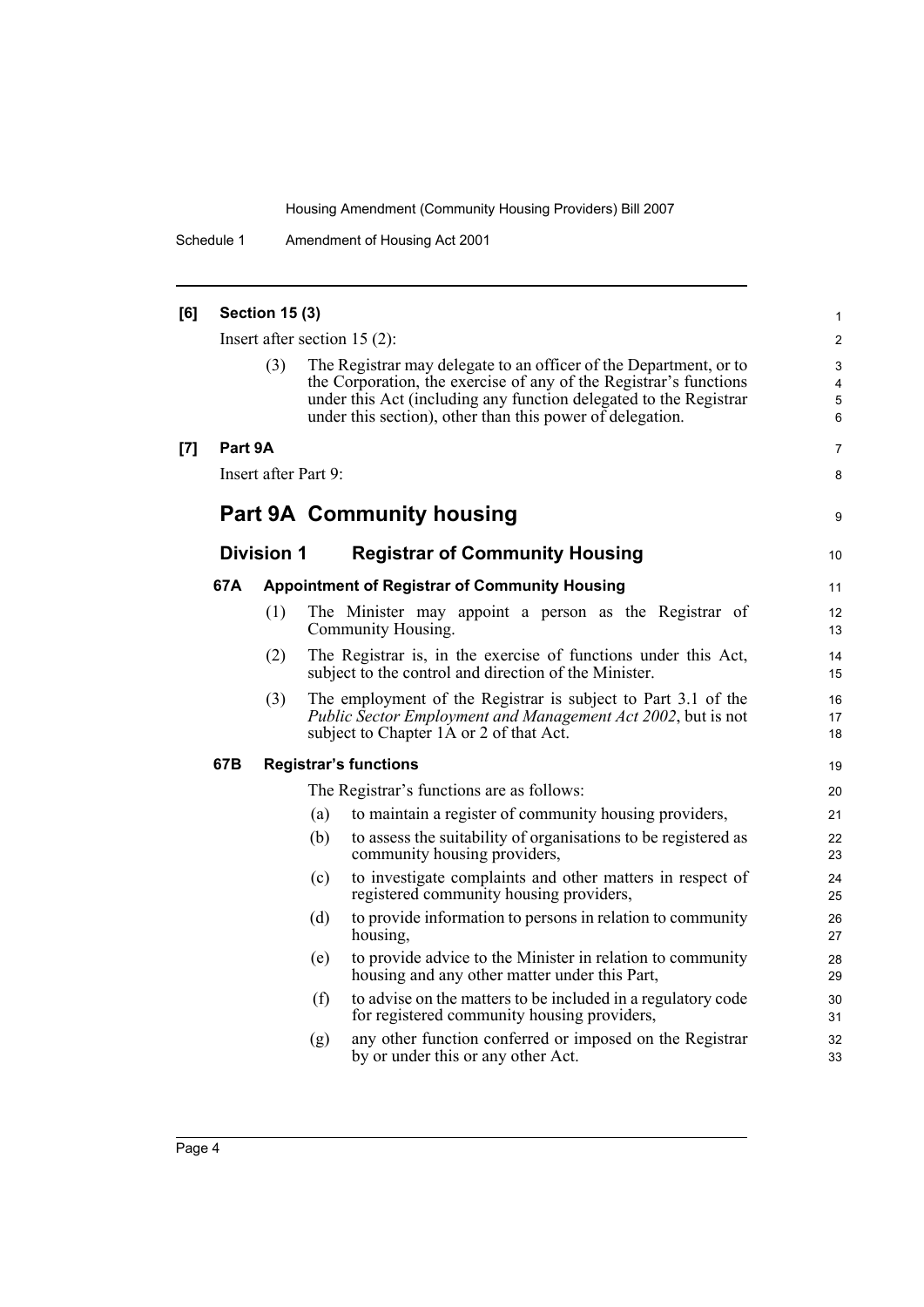Schedule 1 Amendment of Housing Act 2001

| [6] |         | <b>Section 15 (3)</b>                                      |     |                                                                                                                                                                                                                                                                          | 1                          |  |  |
|-----|---------|------------------------------------------------------------|-----|--------------------------------------------------------------------------------------------------------------------------------------------------------------------------------------------------------------------------------------------------------------------------|----------------------------|--|--|
|     |         |                                                            |     | Insert after section $15(2)$ :                                                                                                                                                                                                                                           | $\overline{2}$             |  |  |
|     |         | (3)                                                        |     | The Registrar may delegate to an officer of the Department, or to<br>the Corporation, the exercise of any of the Registrar's functions<br>under this Act (including any function delegated to the Registrar<br>under this section), other than this power of delegation. | 3<br>4<br>$\mathbf 5$<br>6 |  |  |
| [7] | Part 9A |                                                            |     |                                                                                                                                                                                                                                                                          | 7                          |  |  |
|     |         | Insert after Part 9:                                       |     |                                                                                                                                                                                                                                                                          | 8                          |  |  |
|     |         |                                                            |     | <b>Part 9A Community housing</b>                                                                                                                                                                                                                                         | 9                          |  |  |
|     |         | <b>Division 1</b><br><b>Registrar of Community Housing</b> |     |                                                                                                                                                                                                                                                                          |                            |  |  |
|     | 67A     |                                                            |     | <b>Appointment of Registrar of Community Housing</b>                                                                                                                                                                                                                     | 11                         |  |  |
|     |         | (1)                                                        |     | The Minister may appoint a person as the Registrar of<br>Community Housing.                                                                                                                                                                                              | 12<br>13                   |  |  |
|     |         | (2)                                                        |     | The Registrar is, in the exercise of functions under this Act,<br>subject to the control and direction of the Minister.                                                                                                                                                  | 14<br>15                   |  |  |
|     |         | (3)                                                        |     | The employment of the Registrar is subject to Part 3.1 of the<br>Public Sector Employment and Management Act 2002, but is not<br>subject to Chapter 1A or 2 of that Act.                                                                                                 | 16<br>17<br>18             |  |  |
|     | 67B     |                                                            |     | <b>Registrar's functions</b>                                                                                                                                                                                                                                             | 19                         |  |  |
|     |         |                                                            |     | The Registrar's functions are as follows:                                                                                                                                                                                                                                | 20                         |  |  |
|     |         |                                                            | (a) | to maintain a register of community housing providers,                                                                                                                                                                                                                   | 21                         |  |  |
|     |         |                                                            | (b) | to assess the suitability of organisations to be registered as<br>community housing providers,                                                                                                                                                                           | 22<br>23                   |  |  |
|     |         |                                                            | (c) | to investigate complaints and other matters in respect of<br>registered community housing providers,                                                                                                                                                                     | 24<br>25                   |  |  |
|     |         |                                                            | (d) | to provide information to persons in relation to community<br>housing,                                                                                                                                                                                                   | 26<br>27                   |  |  |
|     |         |                                                            | (e) | to provide advice to the Minister in relation to community<br>housing and any other matter under this Part,                                                                                                                                                              | 28<br>29                   |  |  |
|     |         |                                                            | (f) | to advise on the matters to be included in a regulatory code<br>for registered community housing providers,                                                                                                                                                              | 30<br>31                   |  |  |
|     |         |                                                            | (g) | any other function conferred or imposed on the Registrar<br>by or under this or any other Act.                                                                                                                                                                           | 32<br>33                   |  |  |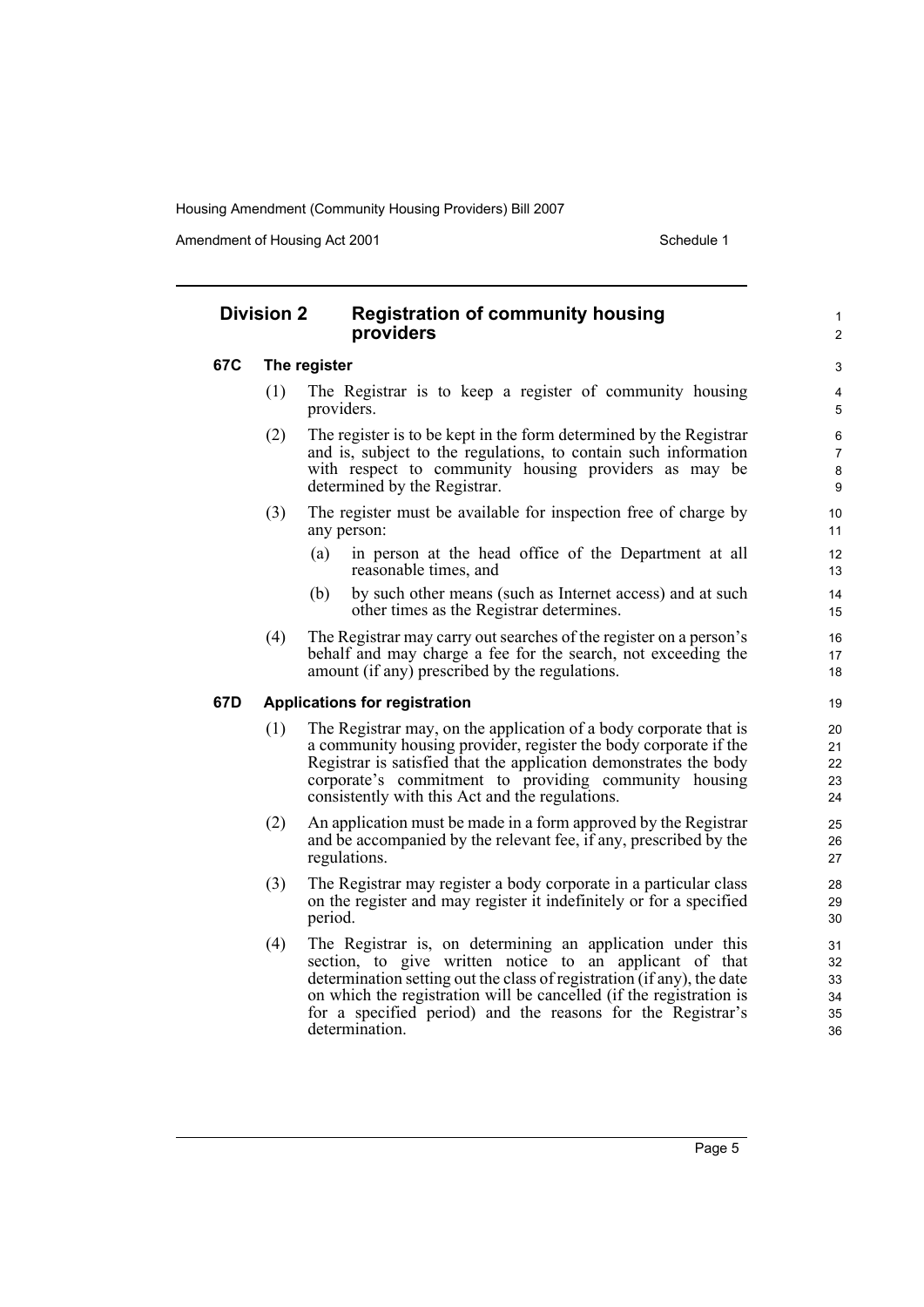Amendment of Housing Act 2001 and the control of Schedule 1

1  $\overline{2}$ 

### **Division 2 Registration of community housing providers**

#### **67C The register**

- (1) The Registrar is to keep a register of community housing providers.
- (2) The register is to be kept in the form determined by the Registrar and is, subject to the regulations, to contain such information with respect to community housing providers as may be determined by the Registrar.
- (3) The register must be available for inspection free of charge by any person:
	- (a) in person at the head office of the Department at all reasonable times, and
	- (b) by such other means (such as Internet access) and at such other times as the Registrar determines.
- (4) The Registrar may carry out searches of the register on a person's behalf and may charge a fee for the search, not exceeding the amount (if any) prescribed by the regulations.

#### **67D Applications for registration**

- (1) The Registrar may, on the application of a body corporate that is a community housing provider, register the body corporate if the Registrar is satisfied that the application demonstrates the body corporate's commitment to providing community housing consistently with this Act and the regulations.
- (2) An application must be made in a form approved by the Registrar and be accompanied by the relevant fee, if any, prescribed by the regulations.
- (3) The Registrar may register a body corporate in a particular class on the register and may register it indefinitely or for a specified period.
- (4) The Registrar is, on determining an application under this section, to give written notice to an applicant of that determination setting out the class of registration (if any), the date on which the registration will be cancelled (if the registration is for a specified period) and the reasons for the Registrar's determination.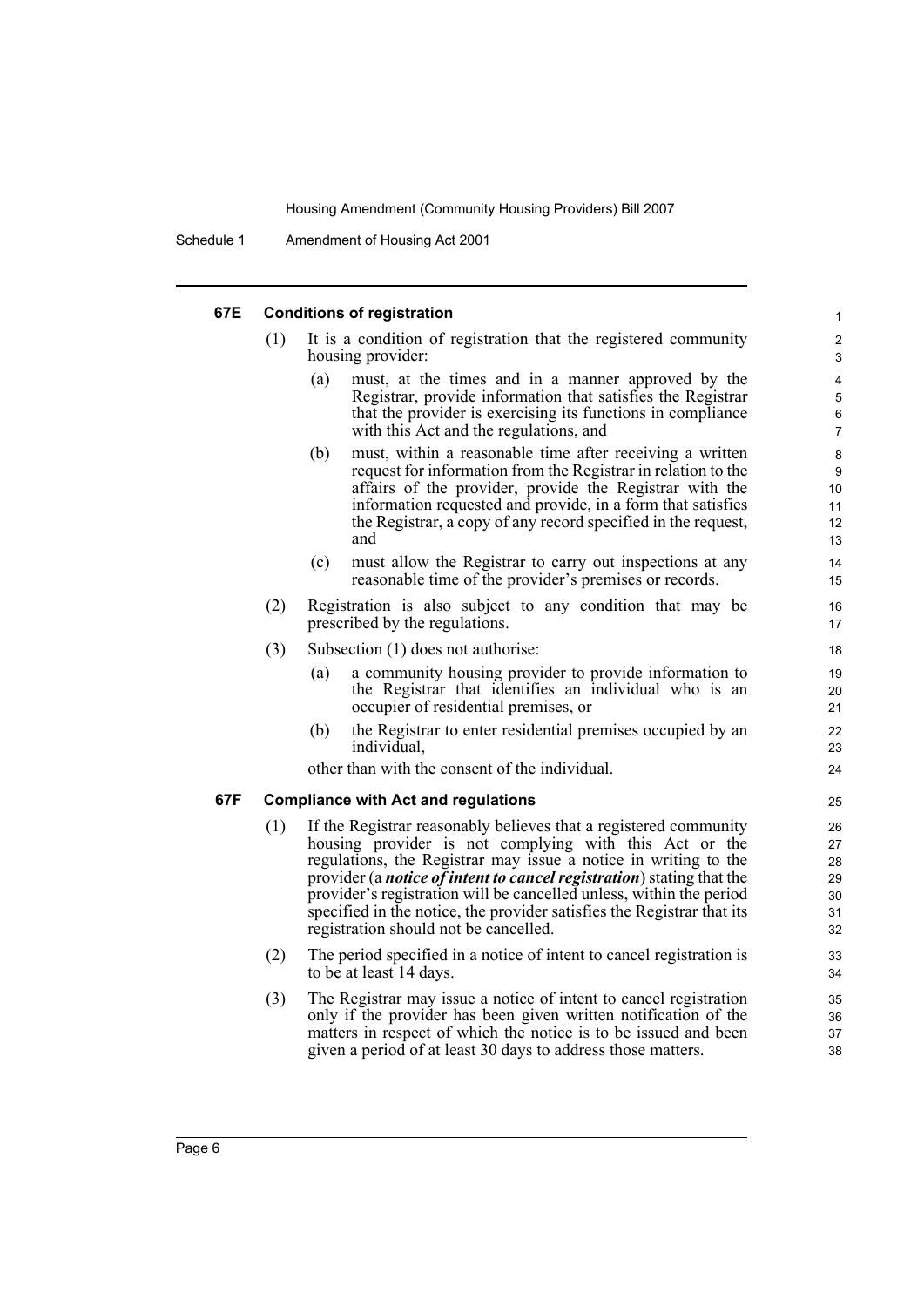#### **67E Conditions of registration** (1) It is a condition of registration that the registered community housing provider: (a) must, at the times and in a manner approved by the Registrar, provide information that satisfies the Registrar that the provider is exercising its functions in compliance with this Act and the regulations, and (b) must, within a reasonable time after receiving a written request for information from the Registrar in relation to the affairs of the provider, provide the Registrar with the information requested and provide, in a form that satisfies the Registrar, a copy of any record specified in the request, and (c) must allow the Registrar to carry out inspections at any reasonable time of the provider's premises or records. (2) Registration is also subject to any condition that may be prescribed by the regulations. (3) Subsection (1) does not authorise: (a) a community housing provider to provide information to the Registrar that identifies an individual who is an occupier of residential premises, or (b) the Registrar to enter residential premises occupied by an individual, other than with the consent of the individual. **67F Compliance with Act and regulations** (1) If the Registrar reasonably believes that a registered community housing provider is not complying with this Act or the regulations, the Registrar may issue a notice in writing to the provider (a *notice of intent to cancel registration*) stating that the provider's registration will be cancelled unless, within the period specified in the notice, the provider satisfies the Registrar that its registration should not be cancelled. (2) The period specified in a notice of intent to cancel registration is to be at least 14 days. (3) The Registrar may issue a notice of intent to cancel registration only if the provider has been given written notification of the matters in respect of which the notice is to be issued and been given a period of at least 30 days to address those matters. 1 2 3 4 5 6 7 8 9 10 11 12 13 14 15 16 17 18 19 20 21 22 23  $24$ 25 26 27 28 29 30 31 32 33 34 35 36 37 38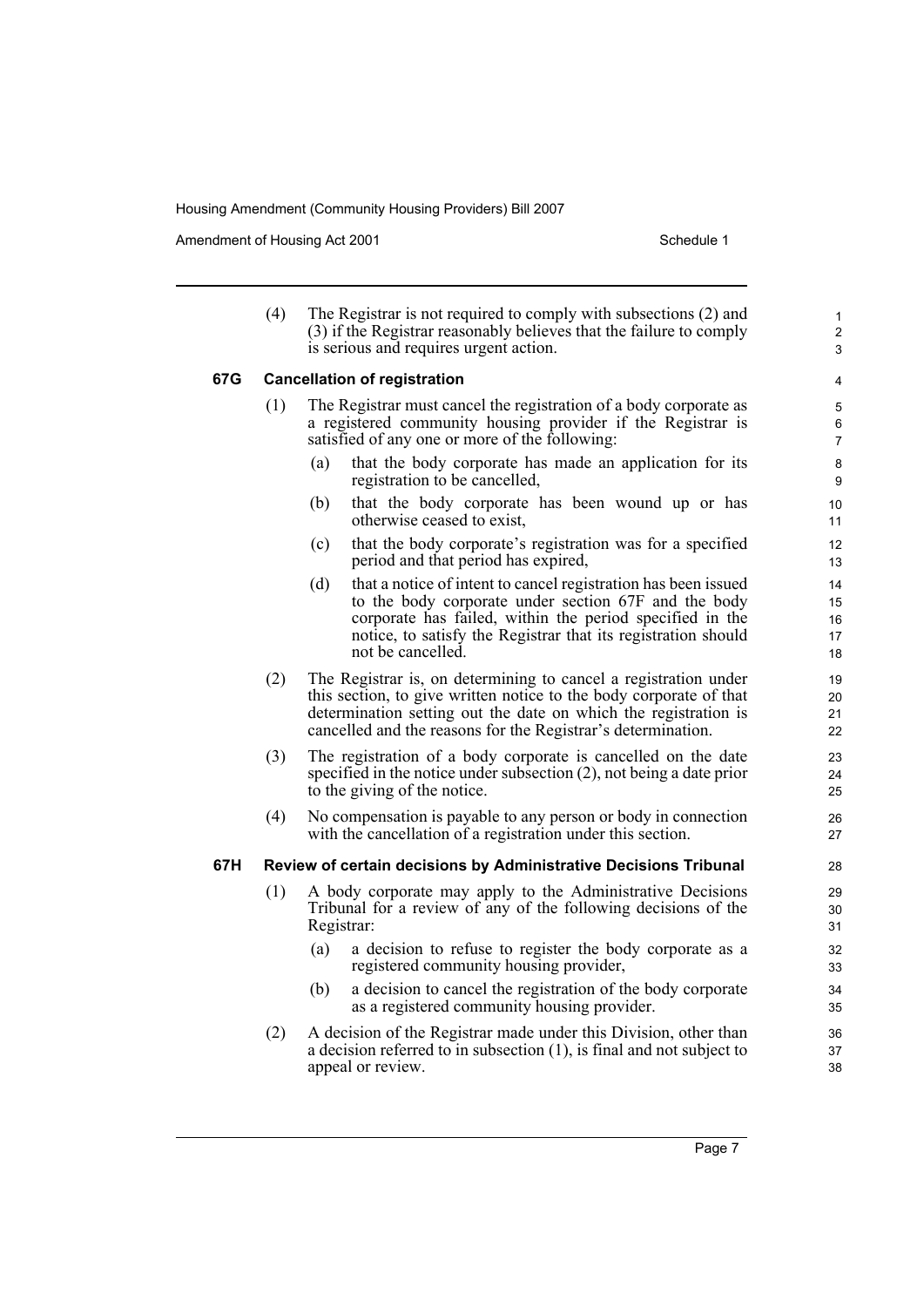Amendment of Housing Act 2001 and the control of Schedule 1

1 2 3

| (4) | The Registrar is not required to comply with subsections (2) and    |
|-----|---------------------------------------------------------------------|
|     | (3) if the Registrar reasonably believes that the failure to comply |
|     | is serious and requires urgent action.                              |

#### **67G Cancellation of registration**

- (1) The Registrar must cancel the registration of a body corporate as a registered community housing provider if the Registrar is satisfied of any one or more of the following:
	- (a) that the body corporate has made an application for its registration to be cancelled,
	- (b) that the body corporate has been wound up or has otherwise ceased to exist,
	- (c) that the body corporate's registration was for a specified period and that period has expired,
	- (d) that a notice of intent to cancel registration has been issued to the body corporate under section 67F and the body corporate has failed, within the period specified in the notice, to satisfy the Registrar that its registration should not be cancelled.
- (2) The Registrar is, on determining to cancel a registration under this section, to give written notice to the body corporate of that determination setting out the date on which the registration is cancelled and the reasons for the Registrar's determination.
- (3) The registration of a body corporate is cancelled on the date specified in the notice under subsection (2), not being a date prior to the giving of the notice.
- (4) No compensation is payable to any person or body in connection with the cancellation of a registration under this section.

#### **67H Review of certain decisions by Administrative Decisions Tribunal**

- (1) A body corporate may apply to the Administrative Decisions Tribunal for a review of any of the following decisions of the Registrar:
	- (a) a decision to refuse to register the body corporate as a registered community housing provider,
	- (b) a decision to cancel the registration of the body corporate as a registered community housing provider.
- (2) A decision of the Registrar made under this Division, other than a decision referred to in subsection (1), is final and not subject to appeal or review.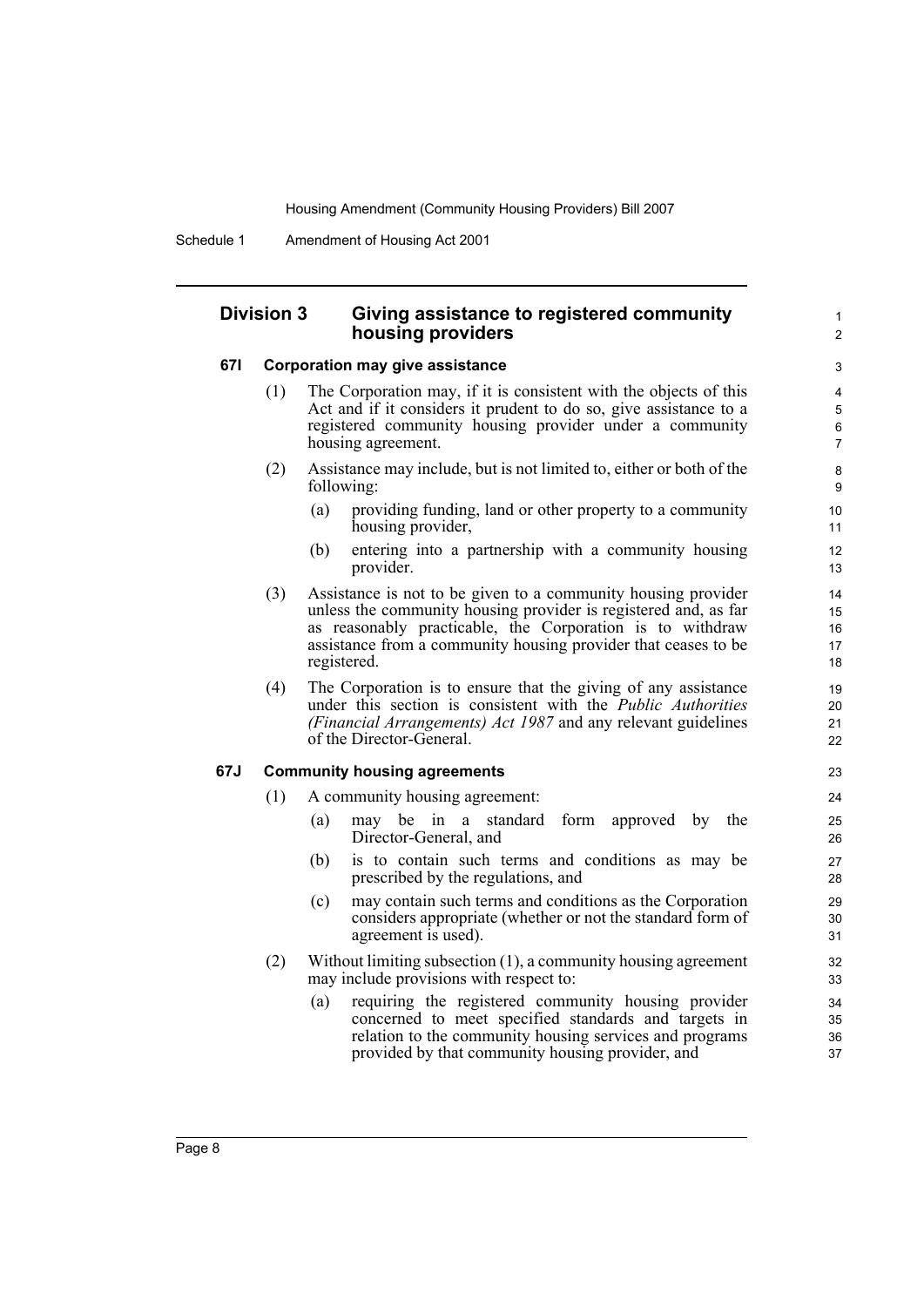#### **Division 3 Giving assistance to registered community housing providers**

#### **67I Corporation may give assistance**

- (1) The Corporation may, if it is consistent with the objects of this Act and if it considers it prudent to do so, give assistance to a registered community housing provider under a community housing agreement.
- (2) Assistance may include, but is not limited to, either or both of the following:
	- (a) providing funding, land or other property to a community housing provider,

1  $\overline{2}$ 

- (b) entering into a partnership with a community housing provider.
- (3) Assistance is not to be given to a community housing provider unless the community housing provider is registered and, as far as reasonably practicable, the Corporation is to withdraw assistance from a community housing provider that ceases to be registered.
- (4) The Corporation is to ensure that the giving of any assistance under this section is consistent with the *Public Authorities (Financial Arrangements) Act 1987* and any relevant guidelines of the Director-General.

#### **67J Community housing agreements**

- (1) A community housing agreement:
	- (a) may be in a standard form approved by the Director-General, and
	- (b) is to contain such terms and conditions as may be prescribed by the regulations, and
	- (c) may contain such terms and conditions as the Corporation considers appropriate (whether or not the standard form of agreement is used).
- (2) Without limiting subsection (1), a community housing agreement may include provisions with respect to:
	- (a) requiring the registered community housing provider concerned to meet specified standards and targets in relation to the community housing services and programs provided by that community housing provider, and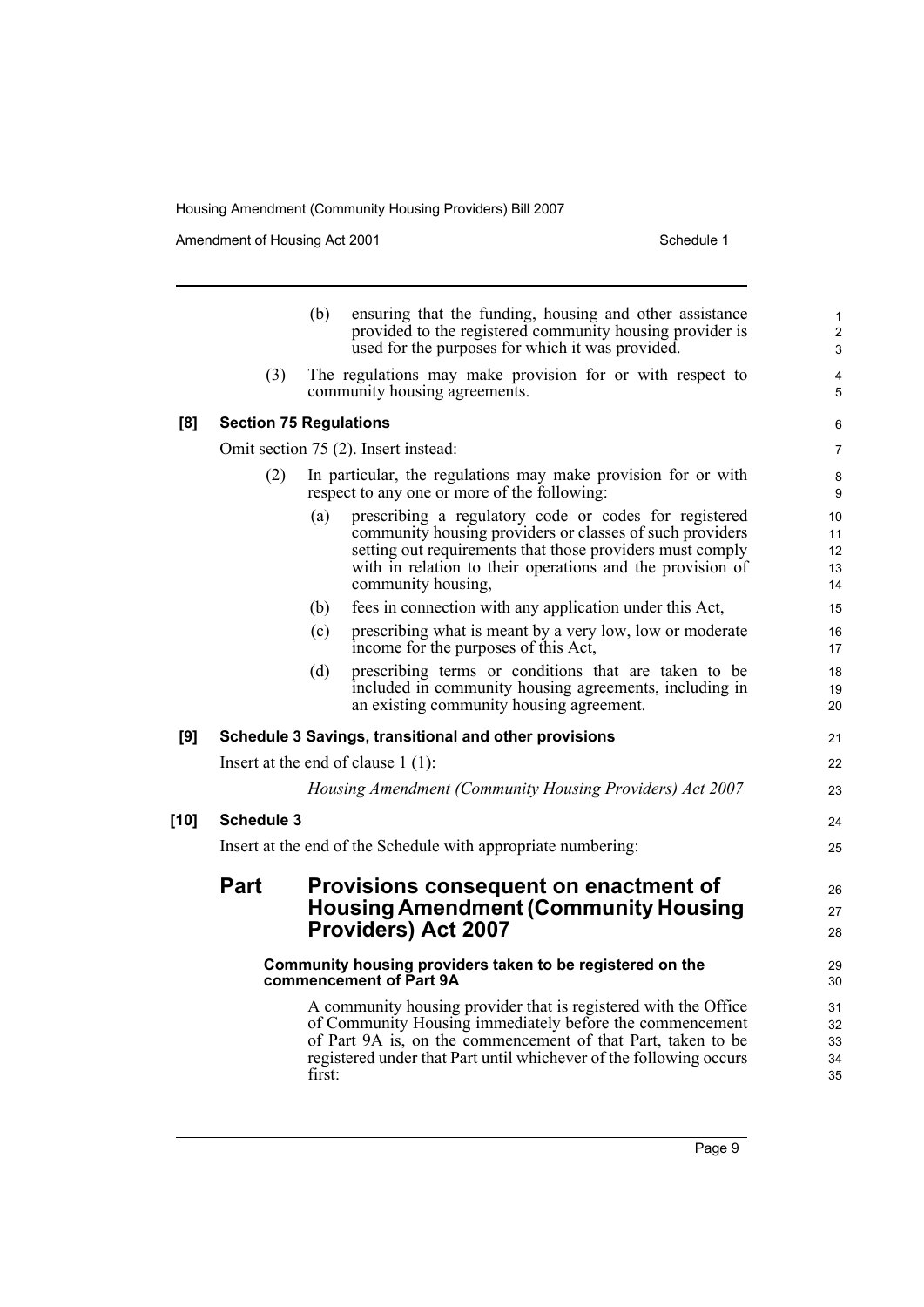Amendment of Housing Act 2001 and the United Schedule 1

|        |                                                                                      | ensuring that the funding, housing and other assistance<br>(b)<br>provided to the registered community housing provider is<br>used for the purposes for which it was provided.                                                                                              | $\mathbf{1}$<br>$\overline{2}$<br>3 |  |  |
|--------|--------------------------------------------------------------------------------------|-----------------------------------------------------------------------------------------------------------------------------------------------------------------------------------------------------------------------------------------------------------------------------|-------------------------------------|--|--|
|        | (3)                                                                                  | The regulations may make provision for or with respect to<br>community housing agreements.                                                                                                                                                                                  | 4<br>5                              |  |  |
| [8]    |                                                                                      | <b>Section 75 Regulations</b>                                                                                                                                                                                                                                               | 6                                   |  |  |
|        | Omit section 75 (2). Insert instead:                                                 |                                                                                                                                                                                                                                                                             |                                     |  |  |
|        | (2)                                                                                  | In particular, the regulations may make provision for or with<br>respect to any one or more of the following:                                                                                                                                                               |                                     |  |  |
|        |                                                                                      | (a)<br>prescribing a regulatory code or codes for registered<br>community housing providers or classes of such providers<br>setting out requirements that those providers must comply<br>with in relation to their operations and the provision of<br>community housing,    | 10<br>11<br>12<br>13<br>14          |  |  |
|        |                                                                                      | fees in connection with any application under this Act,<br>(b)                                                                                                                                                                                                              | 15                                  |  |  |
|        |                                                                                      | (c)<br>prescribing what is meant by a very low, low or moderate<br>income for the purposes of this Act,                                                                                                                                                                     | 16<br>17                            |  |  |
|        |                                                                                      | (d)<br>prescribing terms or conditions that are taken to be<br>included in community housing agreements, including in<br>an existing community housing agreement.                                                                                                           | 18<br>19<br>20                      |  |  |
| [9]    |                                                                                      | Schedule 3 Savings, transitional and other provisions                                                                                                                                                                                                                       | 21                                  |  |  |
|        | Insert at the end of clause $1(1)$ :                                                 |                                                                                                                                                                                                                                                                             |                                     |  |  |
|        |                                                                                      | Housing Amendment (Community Housing Providers) Act 2007                                                                                                                                                                                                                    | 23                                  |  |  |
| $[10]$ | <b>Schedule 3</b>                                                                    |                                                                                                                                                                                                                                                                             |                                     |  |  |
|        |                                                                                      | Insert at the end of the Schedule with appropriate numbering:                                                                                                                                                                                                               | 25                                  |  |  |
|        | <b>Part</b>                                                                          | Provisions consequent on enactment of                                                                                                                                                                                                                                       | 26                                  |  |  |
|        |                                                                                      | <b>Housing Amendment (Community Housing</b>                                                                                                                                                                                                                                 | 27                                  |  |  |
|        |                                                                                      | <b>Providers) Act 2007</b>                                                                                                                                                                                                                                                  | 28                                  |  |  |
|        | Community housing providers taken to be registered on the<br>commencement of Part 9A |                                                                                                                                                                                                                                                                             |                                     |  |  |
|        |                                                                                      | A community housing provider that is registered with the Office<br>of Community Housing immediately before the commencement<br>of Part 9A is, on the commencement of that Part, taken to be<br>registered under that Part until whichever of the following occurs<br>first: | 31<br>32<br>33<br>34<br>35          |  |  |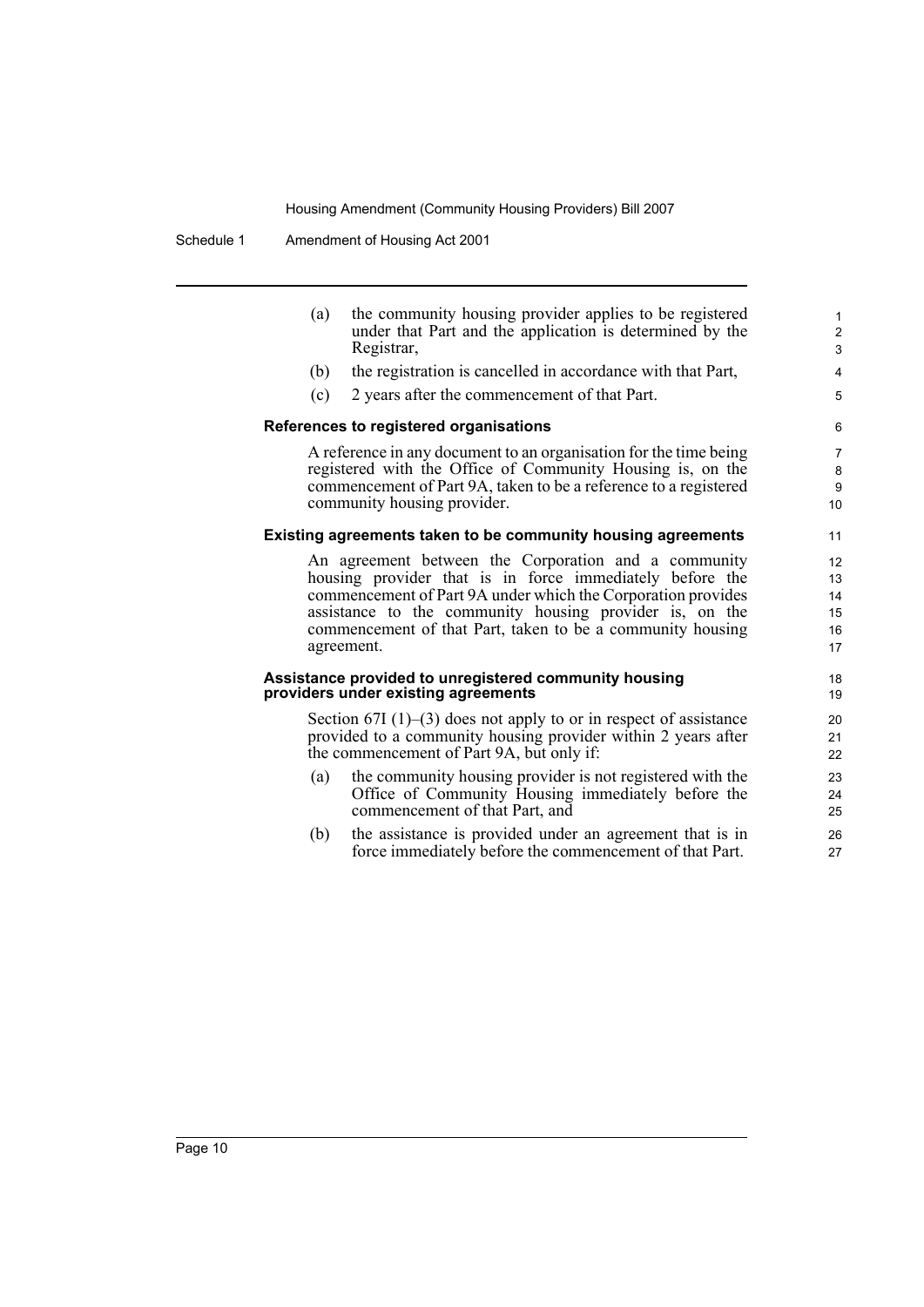Schedule 1 Amendment of Housing Act 2001

(a) the community housing provider applies to be registered under that Part and the application is determined by the Registrar,

- (b) the registration is cancelled in accordance with that Part,
- (c) 2 years after the commencement of that Part.

#### **References to registered organisations**

A reference in any document to an organisation for the time being registered with the Office of Community Housing is, on the commencement of Part 9A, taken to be a reference to a registered community housing provider.

#### **Existing agreements taken to be community housing agreements**

An agreement between the Corporation and a community housing provider that is in force immediately before the commencement of Part 9A under which the Corporation provides assistance to the community housing provider is, on the commencement of that Part, taken to be a community housing agreement.

#### **Assistance provided to unregistered community housing providers under existing agreements**

Section  $67I(1)$ – $(3)$  does not apply to or in respect of assistance provided to a community housing provider within 2 years after the commencement of Part 9A, but only if:

- (a) the community housing provider is not registered with the Office of Community Housing immediately before the commencement of that Part, and
- (b) the assistance is provided under an agreement that is in force immediately before the commencement of that Part.